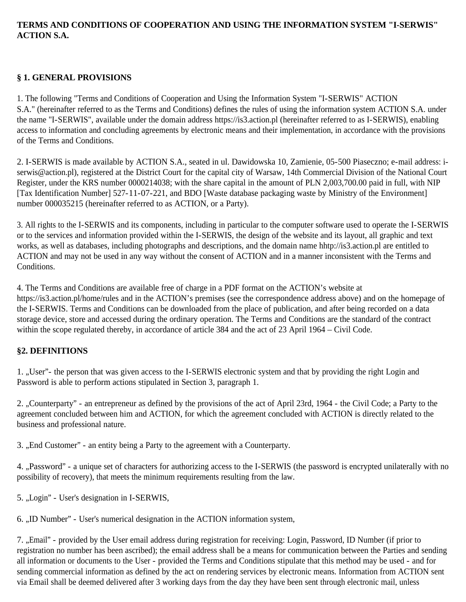## **TERMS AND CONDITIONS OF COOPERATION AND USING THE INFORMATION SYSTEM "I-SERWIS" ACTION S.A.**

## **§ 1. GENERAL PROVISIONS**

1. The following "Terms and Conditions of Cooperation and Using the Information System "I-SERWIS" ACTION S.A." (hereinafter referred to as the Terms and Conditions) defines the rules of using the information system ACTION S.A. under the name "I-SERWIS", available under the domain address https://is3.action.pl (hereinafter referred to as I-SERWIS), enabling access to information and concluding agreements by electronic means and their implementation, in accordance with the provisions of the Terms and Conditions.

2. I-SERWIS is made available by ACTION S.A., seated in ul. Dawidowska 10, Zamienie, 05-500 Piaseczno; e-mail address: iserwis@action.pl), registered at the District Court for the capital city of Warsaw, 14th Commercial Division of the National Court Register, under the KRS number 0000214038; with the share capital in the amount of PLN 2,003,700.00 paid in full, with NIP [Tax Identification Number] 527-11-07-221, and BDO [Waste database packaging waste by Ministry of the Environment] number 000035215 (hereinafter referred to as ACTION, or a Party).

3. All rights to the I-SERWIS and its components, including in particular to the computer software used to operate the I-SERWIS or to the services and information provided within the I-SERWIS, the design of the website and its layout, all graphic and text works, as well as databases, including photographs and descriptions, and the domain name hhtp://is3.action.pl are entitled to ACTION and may not be used in any way without the consent of ACTION and in a manner inconsistent with the Terms and Conditions.

4. The Terms and Conditions are available free of charge in a PDF format on the ACTION's website at https://is3.action.pl/home/rules and in the ACTION's premises (see the correspondence address above) and on the homepage of the I-SERWIS. Terms and Conditions can be downloaded from the place of publication, and after being recorded on a data storage device, store and accessed during the ordinary operation. The Terms and Conditions are the standard of the contract within the scope regulated thereby, in accordance of article 384 and the act of 23 April 1964 – Civil Code.

## **§2. DEFINITIONS**

1. "User"- the person that was given access to the I-SERWIS electronic system and that by providing the right Login and Password is able to perform actions stipulated in Section 3, paragraph 1.

2. "Counterparty" - an entrepreneur as defined by the provisions of the act of April 23rd, 1964 - the Civil Code; a Party to the agreement concluded between him and ACTION, for which the agreement concluded with ACTION is directly related to the business and professional nature.

3. "End Customer" - an entity being a Party to the agreement with a Counterparty.

4. "Password" - a unique set of characters for authorizing access to the I-SERWIS (the password is encrypted unilaterally with no possibility of recovery), that meets the minimum requirements resulting from the law.

5. "Login" - User's designation in I-SERWIS,

6. "ID Number" - User's numerical designation in the ACTION information system,

7. "Email" - provided by the User email address during registration for receiving: Login, Password, ID Number (if prior to registration no number has been ascribed); the email address shall be a means for communication between the Parties and sending all information or documents to the User - provided the Terms and Conditions stipulate that this method may be used - and for sending commercial information as defined by the act on rendering services by electronic means. Information from ACTION sent via Email shall be deemed delivered after 3 working days from the day they have been sent through electronic mail, unless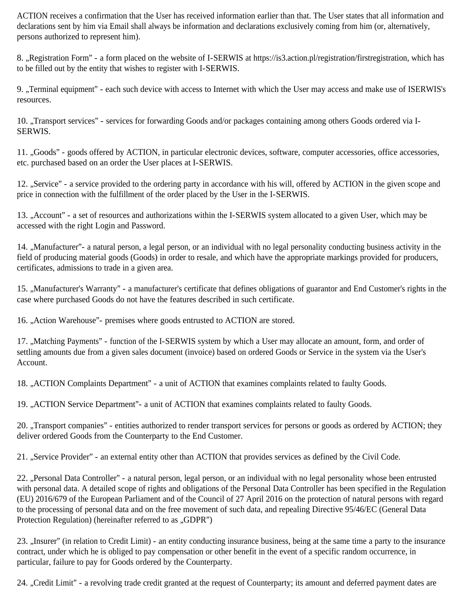ACTION receives a confirmation that the User has received information earlier than that. The User states that all information and declarations sent by him via Email shall always be information and declarations exclusively coming from him (or, alternatively, persons authorized to represent him).

8. "Registration Form" - a form placed on the website of I-SERWIS at https://is3.action.pl/registration/firstregistration, which has to be filled out by the entity that wishes to register with I-SERWIS.

9. "Terminal equipment" - each such device with access to Internet with which the User may access and make use of ISERWIS's resources.

10. "Transport services" - services for forwarding Goods and/or packages containing among others Goods ordered via I-SERWIS.

11. "Goods" - goods offered by ACTION, in particular electronic devices, software, computer accessories, office accessories, etc. purchased based on an order the User places at I-SERWIS.

12. "Service" - a service provided to the ordering party in accordance with his will, offered by ACTION in the given scope and price in connection with the fulfillment of the order placed by the User in the I-SERWIS.

13. "Account" - a set of resources and authorizations within the I-SERWIS system allocated to a given User, which may be accessed with the right Login and Password.

14. "Manufacturer"- a natural person, a legal person, or an individual with no legal personality conducting business activity in the field of producing material goods (Goods) in order to resale, and which have the appropriate markings provided for producers, certificates, admissions to trade in a given area.

15. "Manufacturer's Warranty" - a manufacturer's certificate that defines obligations of guarantor and End Customer's rights in the case where purchased Goods do not have the features described in such certificate.

16. "Action Warehouse"- premises where goods entrusted to ACTION are stored.

17. "Matching Payments" - function of the I-SERWIS system by which a User may allocate an amount, form, and order of settling amounts due from a given sales document (invoice) based on ordered Goods or Service in the system via the User's Account.

18. "ACTION Complaints Department" - a unit of ACTION that examines complaints related to faulty Goods.

19. "ACTION Service Department"- a unit of ACTION that examines complaints related to faulty Goods.

20. "Transport companies" - entities authorized to render transport services for persons or goods as ordered by ACTION; they deliver ordered Goods from the Counterparty to the End Customer.

21. "Service Provider" - an external entity other than ACTION that provides services as defined by the Civil Code.

22. "Personal Data Controller" - a natural person, legal person, or an individual with no legal personality whose been entrusted with personal data. A detailed scope of rights and obligations of the Personal Data Controller has been specified in the Regulation (EU) 2016/679 of the European Parliament and of the Council of 27 April 2016 on the protection of natural persons with regard to the processing of personal data and on the free movement of such data, and repealing Directive 95/46/EC (General Data Protection Regulation) (hereinafter referred to as "GDPR")

23. "Insurer" (in relation to Credit Limit) - an entity conducting insurance business, being at the same time a party to the insurance contract, under which he is obliged to pay compensation or other benefit in the event of a specific random occurrence, in particular, failure to pay for Goods ordered by the Counterparty.

24. "Credit Limit" - a revolving trade credit granted at the request of Counterparty; its amount and deferred payment dates are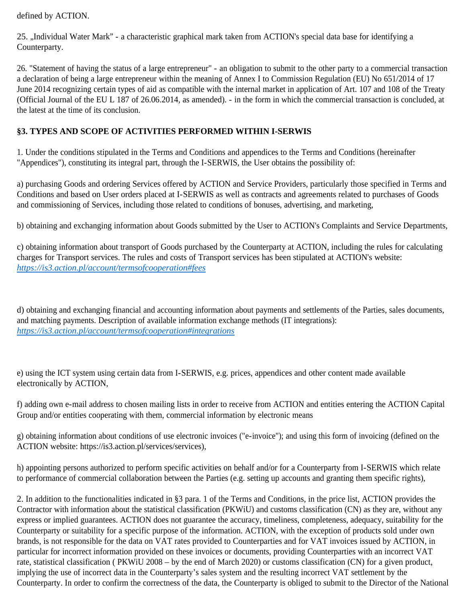defined by ACTION.

25. "Individual Water Mark" - a characteristic graphical mark taken from ACTION's special data base for identifying a Counterparty.

26. "Statement of having the status of a large entrepreneur" - an obligation to submit to the other party to a commercial transaction a declaration of being a large entrepreneur within the meaning of Annex I to Commission Regulation (EU) No 651/2014 of 17 June 2014 recognizing certain types of aid as compatible with the internal market in application of Art. 107 and 108 of the Treaty (Official Journal of the EU L 187 of 26.06.2014, as amended). - in the form in which the commercial transaction is concluded, at the latest at the time of its conclusion.

## **§3. TYPES AND SCOPE OF ACTIVITIES PERFORMED WITHIN I-SERWIS**

1. Under the conditions stipulated in the Terms and Conditions and appendices to the Terms and Conditions (hereinafter "Appendices"), constituting its integral part, through the I-SERWIS, the User obtains the possibility of:

a) purchasing Goods and ordering Services offered by ACTION and Service Providers, particularly those specified in Terms and Conditions and based on User orders placed at I-SERWIS as well as contracts and agreements related to purchases of Goods and commissioning of Services, including those related to conditions of bonuses, advertising, and marketing,

b) obtaining and exchanging information about Goods submitted by the User to ACTION's Complaints and Service Departments,

c) obtaining information about transport of Goods purchased by the Counterparty at ACTION, including the rules for calculating charges for Transport services. The rules and costs of Transport services has been stipulated at ACTION's website: *https://is3.action.pl/account/termsofcooperation#fees*

d) obtaining and exchanging financial and accounting information about payments and settlements of the Parties, sales documents, and matching payments. Description of available information exchange methods (IT integrations): *https://is3.action.pl/account/termsofcooperation#integrations*

e) using the ICT system using certain data from I-SERWIS, e.g. prices, appendices and other content made available electronically by ACTION,

f) adding own e-mail address to chosen mailing lists in order to receive from ACTION and entities entering the ACTION Capital Group and/or entities cooperating with them, commercial information by electronic means

g) obtaining information about conditions of use electronic invoices ("e-invoice"); and using this form of invoicing (defined on the ACTION website: https://is3.action.pl/services/services),

h) appointing persons authorized to perform specific activities on behalf and/or for a Counterparty from I-SERWIS which relate to performance of commercial collaboration between the Parties (e.g. setting up accounts and granting them specific rights),

2. In addition to the functionalities indicated in §3 para. 1 of the Terms and Conditions, in the price list, ACTION provides the Contractor with information about the statistical classification (PKWiU) and customs classification (CN) as they are, without any express or implied guarantees. ACTION does not guarantee the accuracy, timeliness, completeness, adequacy, suitability for the Counterparty or suitability for a specific purpose of the information. ACTION, with the exception of products sold under own brands, is not responsible for the data on VAT rates provided to Counterparties and for VAT invoices issued by ACTION, in particular for incorrect information provided on these invoices or documents, providing Counterparties with an incorrect VAT rate, statistical classification ( PKWiU 2008 – by the end of March 2020) or customs classification (CN) for a given product, implying the use of incorrect data in the Counterparty's sales system and the resulting incorrect VAT settlement by the Counterparty. In order to confirm the correctness of the data, the Counterparty is obliged to submit to the Director of the National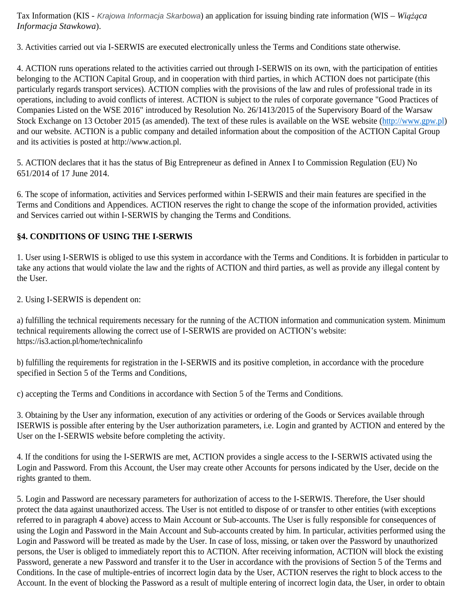Tax Information (KIS - Krajowa Informacja Skarbowa) an application for issuing binding rate information (WIS – *Wiążąca Informacja Stawkowa*).

3. Activities carried out via I-SERWIS are executed electronically unless the Terms and Conditions state otherwise.

4. ACTION runs operations related to the activities carried out through I-SERWIS on its own, with the participation of entities belonging to the ACTION Capital Group, and in cooperation with third parties, in which ACTION does not participate (this particularly regards transport services). ACTION complies with the provisions of the law and rules of professional trade in its operations, including to avoid conflicts of interest. ACTION is subject to the rules of corporate governance "Good Practices of Companies Listed on the WSE 2016" introduced by Resolution No. 26/1413/2015 of the Supervisory Board of the Warsaw Stock Exchange on 13 October 2015 (as amended). The text of these rules is available on the WSE website (http://www.gpw.pl) and our website. ACTION is a public company and detailed information about the composition of the ACTION Capital Group and its activities is posted at http://www.action.pl.

5. ACTION declares that it has the status of Big Entrepreneur as defined in Annex I to Commission Regulation (EU) No 651/2014 of 17 June 2014.

6. The scope of information, activities and Services performed within I-SERWIS and their main features are specified in the Terms and Conditions and Appendices. ACTION reserves the right to change the scope of the information provided, activities and Services carried out within I-SERWIS by changing the Terms and Conditions.

## **§4. CONDITIONS OF USING THE I-SERWIS**

1. User using I-SERWIS is obliged to use this system in accordance with the Terms and Conditions. It is forbidden in particular to take any actions that would violate the law and the rights of ACTION and third parties, as well as provide any illegal content by the User.

2. Using I-SERWIS is dependent on:

a) fulfilling the technical requirements necessary for the running of the ACTION information and communication system. Minimum technical requirements allowing the correct use of I-SERWIS are provided on ACTION's website: https://is3.action.pl/home/technicalinfo

b) fulfilling the requirements for registration in the I-SERWIS and its positive completion, in accordance with the procedure specified in Section 5 of the Terms and Conditions,

c) accepting the Terms and Conditions in accordance with Section 5 of the Terms and Conditions.

3. Obtaining by the User any information, execution of any activities or ordering of the Goods or Services available through ISERWIS is possible after entering by the User authorization parameters, i.e. Login and granted by ACTION and entered by the User on the I-SERWIS website before completing the activity.

4. If the conditions for using the I-SERWIS are met, ACTION provides a single access to the I-SERWIS activated using the Login and Password. From this Account, the User may create other Accounts for persons indicated by the User, decide on the rights granted to them.

5. Login and Password are necessary parameters for authorization of access to the I-SERWIS. Therefore, the User should protect the data against unauthorized access. The User is not entitled to dispose of or transfer to other entities (with exceptions referred to in paragraph 4 above) access to Main Account or Sub-accounts. The User is fully responsible for consequences of using the Login and Password in the Main Account and Sub-accounts created by him. In particular, activities performed using the Login and Password will be treated as made by the User. In case of loss, missing, or taken over the Password by unauthorized persons, the User is obliged to immediately report this to ACTION. After receiving information, ACTION will block the existing Password, generate a new Password and transfer it to the User in accordance with the provisions of Section 5 of the Terms and Conditions. In the case of multiple-entries of incorrect login data by the User, ACTION reserves the right to block access to the Account. In the event of blocking the Password as a result of multiple entering of incorrect login data, the User, in order to obtain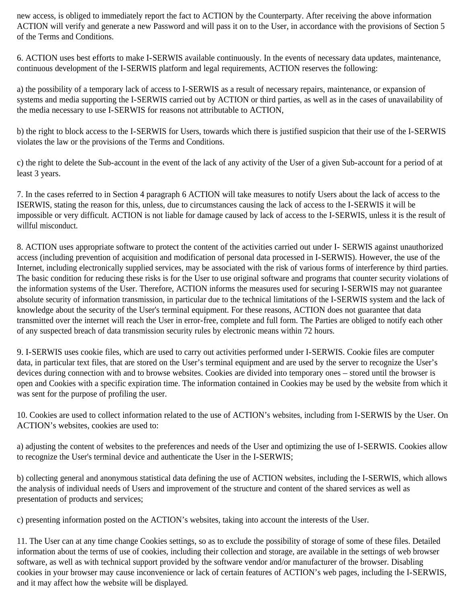new access, is obliged to immediately report the fact to ACTION by the Counterparty. After receiving the above information ACTION will verify and generate a new Password and will pass it on to the User, in accordance with the provisions of Section 5 of the Terms and Conditions.

6. ACTION uses best efforts to make I-SERWIS available continuously. In the events of necessary data updates, maintenance, continuous development of the I-SERWIS platform and legal requirements, ACTION reserves the following:

a) the possibility of a temporary lack of access to I-SERWIS as a result of necessary repairs, maintenance, or expansion of systems and media supporting the I-SERWIS carried out by ACTION or third parties, as well as in the cases of unavailability of the media necessary to use I-SERWIS for reasons not attributable to ACTION,

b) the right to block access to the I-SERWIS for Users, towards which there is justified suspicion that their use of the I-SERWIS violates the law or the provisions of the Terms and Conditions.

c) the right to delete the Sub-account in the event of the lack of any activity of the User of a given Sub-account for a period of at least 3 years.

7. In the cases referred to in Section 4 paragraph 6 ACTION will take measures to notify Users about the lack of access to the ISERWIS, stating the reason for this, unless, due to circumstances causing the lack of access to the I-SERWIS it will be impossible or very difficult. ACTION is not liable for damage caused by lack of access to the I-SERWIS, unless it is the result of willful misconduct.

8. ACTION uses appropriate software to protect the content of the activities carried out under I- SERWIS against unauthorized access (including prevention of acquisition and modification of personal data processed in I-SERWIS). However, the use of the Internet, including electronically supplied services, may be associated with the risk of various forms of interference by third parties. The basic condition for reducing these risks is for the User to use original software and programs that counter security violations of the information systems of the User. Therefore, ACTION informs the measures used for securing I-SERWIS may not guarantee absolute security of information transmission, in particular due to the technical limitations of the I-SERWIS system and the lack of knowledge about the security of the User's terminal equipment. For these reasons, ACTION does not guarantee that data transmitted over the internet will reach the User in error-free, complete and full form. The Parties are obliged to notify each other of any suspected breach of data transmission security rules by electronic means within 72 hours.

9. I-SERWIS uses cookie files, which are used to carry out activities performed under I-SERWIS. Cookie files are computer data, in particular text files, that are stored on the User's terminal equipment and are used by the server to recognize the User's devices during connection with and to browse websites. Cookies are divided into temporary ones – stored until the browser is open and Cookies with a specific expiration time. The information contained in Cookies may be used by the website from which it was sent for the purpose of profiling the user.

10. Cookies are used to collect information related to the use of ACTION's websites, including from I-SERWIS by the User. On ACTION's websites, cookies are used to:

a) adjusting the content of websites to the preferences and needs of the User and optimizing the use of I-SERWIS. Cookies allow to recognize the User's terminal device and authenticate the User in the I-SERWIS;

b) collecting general and anonymous statistical data defining the use of ACTION websites, including the I-SERWIS, which allows the analysis of individual needs of Users and improvement of the structure and content of the shared services as well as presentation of products and services;

c) presenting information posted on the ACTION's websites, taking into account the interests of the User.

11. The User can at any time change Cookies settings, so as to exclude the possibility of storage of some of these files. Detailed information about the terms of use of cookies, including their collection and storage, are available in the settings of web browser software, as well as with technical support provided by the software vendor and/or manufacturer of the browser. Disabling cookies in your browser may cause inconvenience or lack of certain features of ACTION's web pages, including the I-SERWIS, and it may affect how the website will be displayed.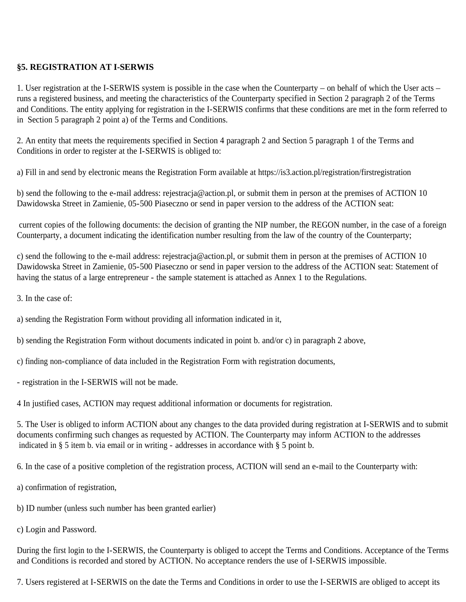### **§5. REGISTRATION AT I-SERWIS**

1. User registration at the I-SERWIS system is possible in the case when the Counterparty – on behalf of which the User acts – runs a registered business, and meeting the characteristics of the Counterparty specified in Section 2 paragraph 2 of the Terms and Conditions. The entity applying for registration in the I-SERWIS confirms that these conditions are met in the form referred to in Section 5 paragraph 2 point a) of the Terms and Conditions.

2. An entity that meets the requirements specified in Section 4 paragraph 2 and Section 5 paragraph 1 of the Terms and Conditions in order to register at the I-SERWIS is obliged to:

a) Fill in and send by electronic means the Registration Form available at https://is3.action.pl/registration/firstregistration

b) send the following to the e-mail address: rejestracja@action.pl, or submit them in person at the premises of ACTION 10 Dawidowska Street in Zamienie, 05-500 Piaseczno or send in paper version to the address of the ACTION seat:

 current copies of the following documents: the decision of granting the NIP number, the REGON number, in the case of a foreign Counterparty, a document indicating the identification number resulting from the law of the country of the Counterparty;

c) send the following to the e-mail address: rejestracja@action.pl, or submit them in person at the premises of ACTION 10 Dawidowska Street in Zamienie, 05-500 Piaseczno or send in paper version to the address of the ACTION seat: Statement of having the status of a large entrepreneur - the sample statement is attached as Annex 1 to the Regulations.

3. In the case of:

a) sending the Registration Form without providing all information indicated in it,

b) sending the Registration Form without documents indicated in point b. and/or c) in paragraph 2 above,

- c) finding non-compliance of data included in the Registration Form with registration documents,
- registration in the I-SERWIS will not be made.

4 In justified cases, ACTION may request additional information or documents for registration.

5. The User is obliged to inform ACTION about any changes to the data provided during registration at I-SERWIS and to submit documents confirming such changes as requested by ACTION. The Counterparty may inform ACTION to the addresses indicated in § 5 item b. via email or in writing - addresses in accordance with § 5 point b.

6. In the case of a positive completion of the registration process, ACTION will send an e-mail to the Counterparty with:

- a) confirmation of registration,
- b) ID number (unless such number has been granted earlier)
- c) Login and Password.

During the first login to the I-SERWIS, the Counterparty is obliged to accept the Terms and Conditions. Acceptance of the Terms and Conditions is recorded and stored by ACTION. No acceptance renders the use of I-SERWIS impossible.

7. Users registered at I-SERWIS on the date the Terms and Conditions in order to use the I-SERWIS are obliged to accept its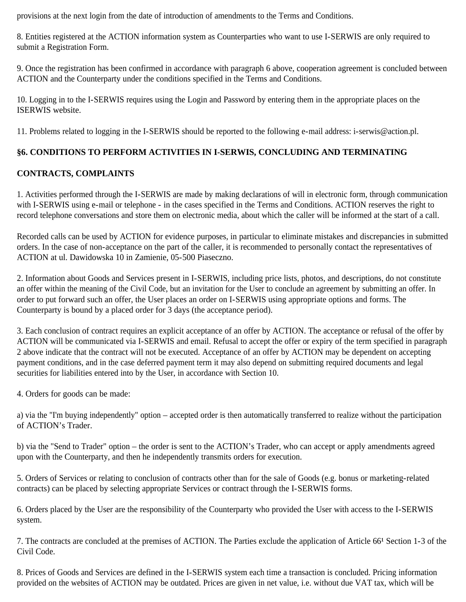provisions at the next login from the date of introduction of amendments to the Terms and Conditions.

8. Entities registered at the ACTION information system as Counterparties who want to use I-SERWIS are only required to submit a Registration Form.

9. Once the registration has been confirmed in accordance with paragraph 6 above, cooperation agreement is concluded between ACTION and the Counterparty under the conditions specified in the Terms and Conditions.

10. Logging in to the I-SERWIS requires using the Login and Password by entering them in the appropriate places on the ISERWIS website.

11. Problems related to logging in the I-SERWIS should be reported to the following e-mail address: i-serwis@action.pl.

## **§6. CONDITIONS TO PERFORM ACTIVITIES IN I-SERWIS, CONCLUDING AND TERMINATING**

## **CONTRACTS, COMPLAINTS**

1. Activities performed through the I-SERWIS are made by making declarations of will in electronic form, through communication with I-SERWIS using e-mail or telephone - in the cases specified in the Terms and Conditions. ACTION reserves the right to record telephone conversations and store them on electronic media, about which the caller will be informed at the start of a call.

Recorded calls can be used by ACTION for evidence purposes, in particular to eliminate mistakes and discrepancies in submitted orders. In the case of non-acceptance on the part of the caller, it is recommended to personally contact the representatives of ACTION at ul. Dawidowska 10 in Zamienie, 05-500 Piaseczno.

2. Information about Goods and Services present in I-SERWIS, including price lists, photos, and descriptions, do not constitute an offer within the meaning of the Civil Code, but an invitation for the User to conclude an agreement by submitting an offer. In order to put forward such an offer, the User places an order on I-SERWIS using appropriate options and forms. The Counterparty is bound by a placed order for 3 days (the acceptance period).

3. Each conclusion of contract requires an explicit acceptance of an offer by ACTION. The acceptance or refusal of the offer by ACTION will be communicated via I-SERWIS and email. Refusal to accept the offer or expiry of the term specified in paragraph 2 above indicate that the contract will not be executed. Acceptance of an offer by ACTION may be dependent on accepting payment conditions, and in the case deferred payment term it may also depend on submitting required documents and legal securities for liabilities entered into by the User, in accordance with Section 10.

4. Orders for goods can be made:

a) via the "I'm buying independently" option – accepted order is then automatically transferred to realize without the participation of ACTION's Trader.

b) via the "Send to Trader" option – the order is sent to the ACTION's Trader, who can accept or apply amendments agreed upon with the Counterparty, and then he independently transmits orders for execution.

5. Orders of Services or relating to conclusion of contracts other than for the sale of Goods (e.g. bonus or marketing-related contracts) can be placed by selecting appropriate Services or contract through the I-SERWIS forms.

6. Orders placed by the User are the responsibility of the Counterparty who provided the User with access to the I-SERWIS system.

7. The contracts are concluded at the premises of ACTION. The Parties exclude the application of Article 66<sup>1</sup> Section 1-3 of the Civil Code.

8. Prices of Goods and Services are defined in the I-SERWIS system each time a transaction is concluded. Pricing information provided on the websites of ACTION may be outdated. Prices are given in net value, i.e. without due VAT tax, which will be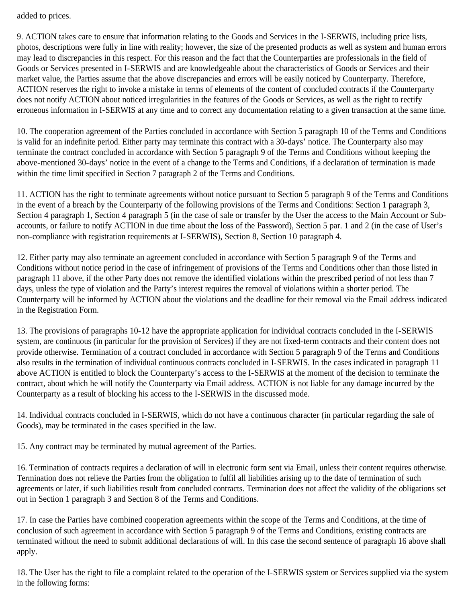added to prices.

9. ACTION takes care to ensure that information relating to the Goods and Services in the I-SERWIS, including price lists, photos, descriptions were fully in line with reality; however, the size of the presented products as well as system and human errors may lead to discrepancies in this respect. For this reason and the fact that the Counterparties are professionals in the field of Goods or Services presented in I-SERWIS and are knowledgeable about the characteristics of Goods or Services and their market value, the Parties assume that the above discrepancies and errors will be easily noticed by Counterparty. Therefore, ACTION reserves the right to invoke a mistake in terms of elements of the content of concluded contracts if the Counterparty does not notify ACTION about noticed irregularities in the features of the Goods or Services, as well as the right to rectify erroneous information in I-SERWIS at any time and to correct any documentation relating to a given transaction at the same time.

10. The cooperation agreement of the Parties concluded in accordance with Section 5 paragraph 10 of the Terms and Conditions is valid for an indefinite period. Either party may terminate this contract with a 30-days' notice. The Counterparty also may terminate the contract concluded in accordance with Section 5 paragraph 9 of the Terms and Conditions without keeping the above-mentioned 30-days' notice in the event of a change to the Terms and Conditions, if a declaration of termination is made within the time limit specified in Section 7 paragraph 2 of the Terms and Conditions.

11. ACTION has the right to terminate agreements without notice pursuant to Section 5 paragraph 9 of the Terms and Conditions in the event of a breach by the Counterparty of the following provisions of the Terms and Conditions: Section 1 paragraph 3, Section 4 paragraph 1, Section 4 paragraph 5 (in the case of sale or transfer by the User the access to the Main Account or Subaccounts, or failure to notify ACTION in due time about the loss of the Password), Section 5 par. 1 and 2 (in the case of User's non-compliance with registration requirements at I-SERWIS), Section 8, Section 10 paragraph 4.

12. Either party may also terminate an agreement concluded in accordance with Section 5 paragraph 9 of the Terms and Conditions without notice period in the case of infringement of provisions of the Terms and Conditions other than those listed in paragraph 11 above, if the other Party does not remove the identified violations within the prescribed period of not less than 7 days, unless the type of violation and the Party's interest requires the removal of violations within a shorter period. The Counterparty will be informed by ACTION about the violations and the deadline for their removal via the Email address indicated in the Registration Form.

13. The provisions of paragraphs 10-12 have the appropriate application for individual contracts concluded in the I-SERWIS system, are continuous (in particular for the provision of Services) if they are not fixed-term contracts and their content does not provide otherwise. Termination of a contract concluded in accordance with Section 5 paragraph 9 of the Terms and Conditions also results in the termination of individual continuous contracts concluded in I-SERWIS. In the cases indicated in paragraph 11 above ACTION is entitled to block the Counterparty's access to the I-SERWIS at the moment of the decision to terminate the contract, about which he will notify the Counterparty via Email address. ACTION is not liable for any damage incurred by the Counterparty as a result of blocking his access to the I-SERWIS in the discussed mode.

14. Individual contracts concluded in I-SERWIS, which do not have a continuous character (in particular regarding the sale of Goods), may be terminated in the cases specified in the law.

15. Any contract may be terminated by mutual agreement of the Parties.

16. Termination of contracts requires a declaration of will in electronic form sent via Email, unless their content requires otherwise. Termination does not relieve the Parties from the obligation to fulfil all liabilities arising up to the date of termination of such agreements or later, if such liabilities result from concluded contracts. Termination does not affect the validity of the obligations set out in Section 1 paragraph 3 and Section 8 of the Terms and Conditions.

17. In case the Parties have combined cooperation agreements within the scope of the Terms and Conditions, at the time of conclusion of such agreement in accordance with Section 5 paragraph 9 of the Terms and Conditions, existing contracts are terminated without the need to submit additional declarations of will. In this case the second sentence of paragraph 16 above shall apply.

18. The User has the right to file a complaint related to the operation of the I-SERWIS system or Services supplied via the system in the following forms: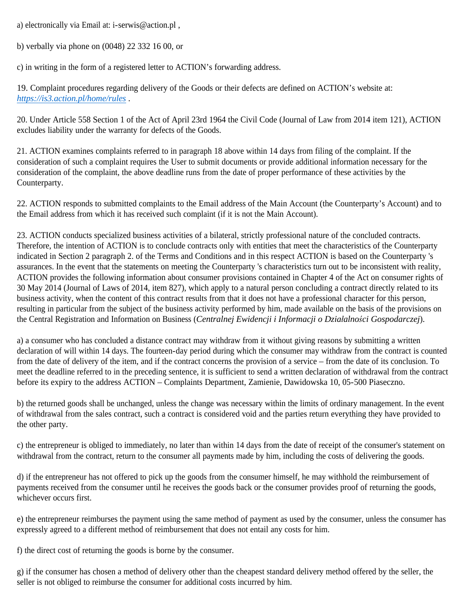a) electronically via Email at: i-serwis@action.pl ,

b) verbally via phone on (0048) 22 332 16 00, or

c) in writing in the form of a registered letter to ACTION's forwarding address.

19. Complaint procedures regarding delivery of the Goods or their defects are defined on ACTION's website at: *https://is3.action.pl/home/rules* .

20. Under Article 558 Section 1 of the Act of April 23rd 1964 the Civil Code (Journal of Law from 2014 item 121), ACTION excludes liability under the warranty for defects of the Goods.

21. ACTION examines complaints referred to in paragraph 18 above within 14 days from filing of the complaint. If the consideration of such a complaint requires the User to submit documents or provide additional information necessary for the consideration of the complaint, the above deadline runs from the date of proper performance of these activities by the Counterparty.

22. ACTION responds to submitted complaints to the Email address of the Main Account (the Counterparty's Account) and to the Email address from which it has received such complaint (if it is not the Main Account).

23. ACTION conducts specialized business activities of a bilateral, strictly professional nature of the concluded contracts. Therefore, the intention of ACTION is to conclude contracts only with entities that meet the characteristics of the Counterparty indicated in Section 2 paragraph 2. of the Terms and Conditions and in this respect ACTION is based on the Counterparty 's assurances. In the event that the statements on meeting the Counterparty 's characteristics turn out to be inconsistent with reality, ACTION provides the following information about consumer provisions contained in Chapter 4 of the Act on consumer rights of 30 May 2014 (Journal of Laws of 2014, item 827), which apply to a natural person concluding a contract directly related to its business activity, when the content of this contract results from that it does not have a professional character for this person, resulting in particular from the subject of the business activity performed by him, made available on the basis of the provisions on the Central Registration and Information on Business (*Centralnej Ewidencji i Informacji o Działalności Gospodarczej*).

a) a consumer who has concluded a distance contract may withdraw from it without giving reasons by submitting a written declaration of will within 14 days. The fourteen-day period during which the consumer may withdraw from the contract is counted from the date of delivery of the item, and if the contract concerns the provision of a service – from the date of its conclusion. To meet the deadline referred to in the preceding sentence, it is sufficient to send a written declaration of withdrawal from the contract before its expiry to the address ACTION – Complaints Department, Zamienie, Dawidowska 10, 05-500 Piaseczno.

b) the returned goods shall be unchanged, unless the change was necessary within the limits of ordinary management. In the event of withdrawal from the sales contract, such a contract is considered void and the parties return everything they have provided to the other party.

c) the entrepreneur is obliged to immediately, no later than within 14 days from the date of receipt of the consumer's statement on withdrawal from the contract, return to the consumer all payments made by him, including the costs of delivering the goods.

d) if the entrepreneur has not offered to pick up the goods from the consumer himself, he may withhold the reimbursement of payments received from the consumer until he receives the goods back or the consumer provides proof of returning the goods, whichever occurs first.

e) the entrepreneur reimburses the payment using the same method of payment as used by the consumer, unless the consumer has expressly agreed to a different method of reimbursement that does not entail any costs for him.

f) the direct cost of returning the goods is borne by the consumer.

g) if the consumer has chosen a method of delivery other than the cheapest standard delivery method offered by the seller, the seller is not obliged to reimburse the consumer for additional costs incurred by him.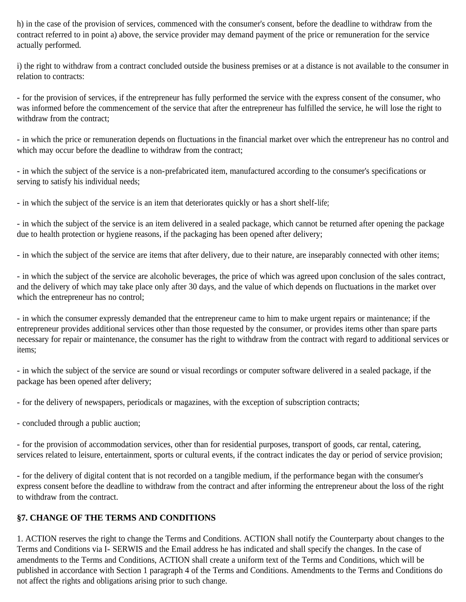h) in the case of the provision of services, commenced with the consumer's consent, before the deadline to withdraw from the contract referred to in point a) above, the service provider may demand payment of the price or remuneration for the service actually performed.

i) the right to withdraw from a contract concluded outside the business premises or at a distance is not available to the consumer in relation to contracts:

- for the provision of services, if the entrepreneur has fully performed the service with the express consent of the consumer, who was informed before the commencement of the service that after the entrepreneur has fulfilled the service, he will lose the right to withdraw from the contract;

- in which the price or remuneration depends on fluctuations in the financial market over which the entrepreneur has no control and which may occur before the deadline to withdraw from the contract;

- in which the subject of the service is a non-prefabricated item, manufactured according to the consumer's specifications or serving to satisfy his individual needs;

- in which the subject of the service is an item that deteriorates quickly or has a short shelf-life;

- in which the subject of the service is an item delivered in a sealed package, which cannot be returned after opening the package due to health protection or hygiene reasons, if the packaging has been opened after delivery;

- in which the subject of the service are items that after delivery, due to their nature, are inseparably connected with other items;

- in which the subject of the service are alcoholic beverages, the price of which was agreed upon conclusion of the sales contract, and the delivery of which may take place only after 30 days, and the value of which depends on fluctuations in the market over which the entrepreneur has no control;

- in which the consumer expressly demanded that the entrepreneur came to him to make urgent repairs or maintenance; if the entrepreneur provides additional services other than those requested by the consumer, or provides items other than spare parts necessary for repair or maintenance, the consumer has the right to withdraw from the contract with regard to additional services or items;

- in which the subject of the service are sound or visual recordings or computer software delivered in a sealed package, if the package has been opened after delivery;

- for the delivery of newspapers, periodicals or magazines, with the exception of subscription contracts;

- concluded through a public auction;

- for the provision of accommodation services, other than for residential purposes, transport of goods, car rental, catering, services related to leisure, entertainment, sports or cultural events, if the contract indicates the day or period of service provision;

- for the delivery of digital content that is not recorded on a tangible medium, if the performance began with the consumer's express consent before the deadline to withdraw from the contract and after informing the entrepreneur about the loss of the right to withdraw from the contract.

### **§7. CHANGE OF THE TERMS AND CONDITIONS**

1. ACTION reserves the right to change the Terms and Conditions. ACTION shall notify the Counterparty about changes to the Terms and Conditions via I- SERWIS and the Email address he has indicated and shall specify the changes. In the case of amendments to the Terms and Conditions, ACTION shall create a uniform text of the Terms and Conditions, which will be published in accordance with Section 1 paragraph 4 of the Terms and Conditions. Amendments to the Terms and Conditions do not affect the rights and obligations arising prior to such change.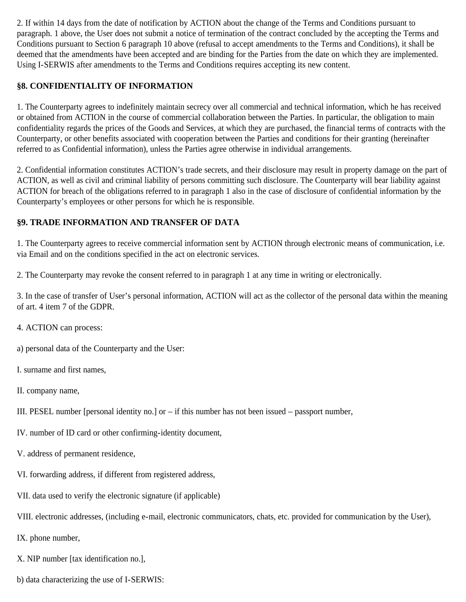2. If within 14 days from the date of notification by ACTION about the change of the Terms and Conditions pursuant to paragraph. 1 above, the User does not submit a notice of termination of the contract concluded by the accepting the Terms and Conditions pursuant to Section 6 paragraph 10 above (refusal to accept amendments to the Terms and Conditions), it shall be deemed that the amendments have been accepted and are binding for the Parties from the date on which they are implemented. Using I-SERWIS after amendments to the Terms and Conditions requires accepting its new content.

## **§8. CONFIDENTIALITY OF INFORMATION**

1. The Counterparty agrees to indefinitely maintain secrecy over all commercial and technical information, which he has received or obtained from ACTION in the course of commercial collaboration between the Parties. In particular, the obligation to main confidentiality regards the prices of the Goods and Services, at which they are purchased, the financial terms of contracts with the Counterparty, or other benefits associated with cooperation between the Parties and conditions for their granting (hereinafter referred to as Confidential information), unless the Parties agree otherwise in individual arrangements.

2. Confidential information constitutes ACTION's trade secrets, and their disclosure may result in property damage on the part of ACTION, as well as civil and criminal liability of persons committing such disclosure. The Counterparty will bear liability against ACTION for breach of the obligations referred to in paragraph 1 also in the case of disclosure of confidential information by the Counterparty's employees or other persons for which he is responsible.

## **§9. TRADE INFORMATION AND TRANSFER OF DATA**

1. The Counterparty agrees to receive commercial information sent by ACTION through electronic means of communication, i.e. via Email and on the conditions specified in the act on electronic services.

2. The Counterparty may revoke the consent referred to in paragraph 1 at any time in writing or electronically.

3. In the case of transfer of User's personal information, ACTION will act as the collector of the personal data within the meaning of art. 4 item 7 of the GDPR.

- 4. ACTION can process:
- a) personal data of the Counterparty and the User:
- I. surname and first names,
- II. company name,
- III. PESEL number [personal identity no.] or  $-$  if this number has not been issued  $-$  passport number,
- IV. number of ID card or other confirming-identity document,
- V. address of permanent residence,
- VI. forwarding address, if different from registered address,
- VII. data used to verify the electronic signature (if applicable)
- VIII. electronic addresses, (including e-mail, electronic communicators, chats, etc. provided for communication by the User),
- IX. phone number,
- X. NIP number [tax identification no.],
- b) data characterizing the use of I-SERWIS: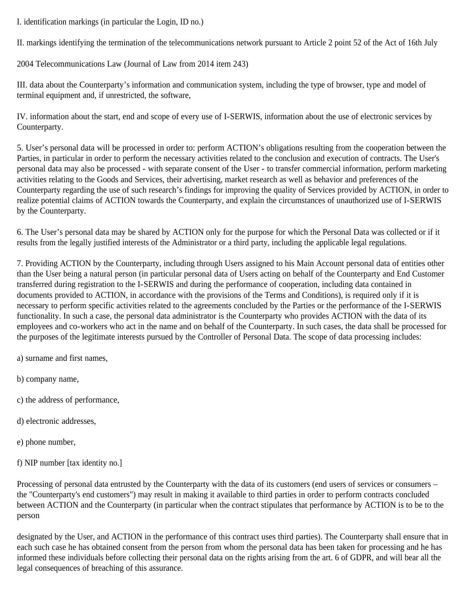I. identification markings (in particular the Login, ID no.)

II. markings identifying the termination of the telecommunications network pursuant to Article 2 point 52 of the Act of 16th July

2004 Telecommunications Law (Journal of Law from 2014 item 243)

III. data about the Counterparty's information and communication system, including the type of browser, type and model of terminal equipment and, if unrestricted, the software,

IV. information about the start, end and scope of every use of I-SERWIS, information about the use of electronic services by Counterparty.

5. User's personal data will be processed in order to: perform ACTION's obligations resulting from the cooperation between the Parties, in particular in order to perform the necessary activities related to the conclusion and execution of contracts. The User's personal data may also be processed - with separate consent of the User - to transfer commercial information, perform marketing activities relating to the Goods and Services, their advertising, market research as well as behavior and preferences of the Counterparty regarding the use of such research's findings for improving the quality of Services provided by ACTION, in order to realize potential claims of ACTION towards the Counterparty, and explain the circumstances of unauthorized use of I-SERWIS by the Counterparty.

6. The User's personal data may be shared by ACTION only for the purpose for which the Personal Data was collected or if it results from the legally justified interests of the Administrator or a third party, including the applicable legal regulations.

7. Providing ACTION by the Counterparty, including through Users assigned to his Main Account personal data of entities other than the User being a natural person (in particular personal data of Users acting on behalf of the Counterparty and End Customer transferred during registration to the I-SERWIS and during the performance of cooperation, including data contained in documents provided to ACTION, in accordance with the provisions of the Terms and Conditions), is required only if it is necessary to perform specific activities related to the agreements concluded by the Parties or the performance of the I-SERWIS functionality. In such a case, the personal data administrator is the Counterparty who provides ACTION with the data of its employees and co-workers who act in the name and on behalf of the Counterparty. In such cases, the data shall be processed for the purposes of the legitimate interests pursued by the Controller of Personal Data. The scope of data processing includes:

a) surname and first names,

- b) company name,
- c) the address of performance,
- d) electronic addresses,
- e) phone number,
- f) NIP number [tax identity no.]

Processing of personal data entrusted by the Counterparty with the data of its customers (end users of services or consumers – the "Counterparty's end customers") may result in making it available to third parties in order to perform contracts concluded between ACTION and the Counterparty (in particular when the contract stipulates that performance by ACTION is to be to the person

designated by the User, and ACTION in the performance of this contract uses third parties). The Counterparty shall ensure that in each such case he has obtained consent from the person from whom the personal data has been taken for processing and he has informed these individuals before collecting their personal data on the rights arising from the art. 6 of GDPR, and will bear all the legal consequences of breaching of this assurance.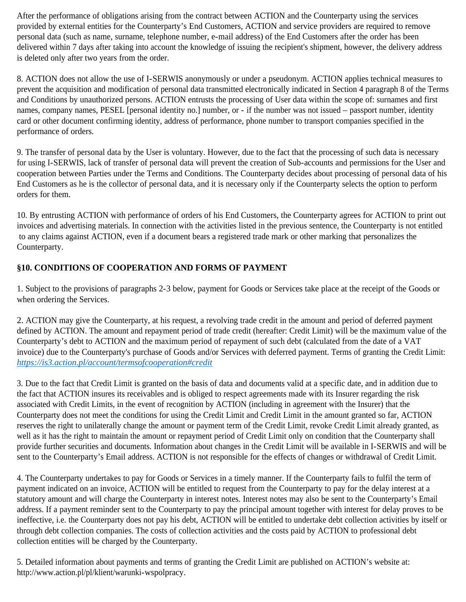After the performance of obligations arising from the contract between ACTION and the Counterparty using the services provided by external entities for the Counterparty's End Customers, ACTION and service providers are required to remove personal data (such as name, surname, telephone number, e-mail address) of the End Customers after the order has been delivered within 7 days after taking into account the knowledge of issuing the recipient's shipment, however, the delivery address is deleted only after two years from the order.

8. ACTION does not allow the use of I-SERWIS anonymously or under a pseudonym. ACTION applies technical measures to prevent the acquisition and modification of personal data transmitted electronically indicated in Section 4 paragraph 8 of the Terms and Conditions by unauthorized persons. ACTION entrusts the processing of User data within the scope of: surnames and first names, company names, PESEL [personal identity no.] number, or - if the number was not issued – passport number, identity card or other document confirming identity, address of performance, phone number to transport companies specified in the performance of orders.

9. The transfer of personal data by the User is voluntary. However, due to the fact that the processing of such data is necessary for using I-SERWIS, lack of transfer of personal data will prevent the creation of Sub-accounts and permissions for the User and cooperation between Parties under the Terms and Conditions. The Counterparty decides about processing of personal data of his End Customers as he is the collector of personal data, and it is necessary only if the Counterparty selects the option to perform orders for them.

10. By entrusting ACTION with performance of orders of his End Customers, the Counterparty agrees for ACTION to print out invoices and advertising materials. In connection with the activities listed in the previous sentence, the Counterparty is not entitled to any claims against ACTION, even if a document bears a registered trade mark or other marking that personalizes the Counterparty.

# **§10. CONDITIONS OF COOPERATION AND FORMS OF PAYMENT**

1. Subject to the provisions of paragraphs 2-3 below, payment for Goods or Services take place at the receipt of the Goods or when ordering the Services.

2. ACTION may give the Counterparty, at his request, a revolving trade credit in the amount and period of deferred payment defined by ACTION. The amount and repayment period of trade credit (hereafter: Credit Limit) will be the maximum value of the Counterparty's debt to ACTION and the maximum period of repayment of such debt (calculated from the date of a VAT invoice) due to the Counterparty's purchase of Goods and/or Services with deferred payment. Terms of granting the Credit Limit: *https://is3.action.pl/account/termsofcooperation#credit*

3. Due to the fact that Credit Limit is granted on the basis of data and documents valid at a specific date, and in addition due to the fact that ACTION insures its receivables and is obliged to respect agreements made with its Insurer regarding the risk associated with Credit Limits, in the event of recognition by ACTION (including in agreement with the Insurer) that the Counterparty does not meet the conditions for using the Credit Limit and Credit Limit in the amount granted so far, ACTION reserves the right to unilaterally change the amount or payment term of the Credit Limit, revoke Credit Limit already granted, as well as it has the right to maintain the amount or repayment period of Credit Limit only on condition that the Counterparty shall provide further securities and documents. Information about changes in the Credit Limit will be available in I-SERWIS and will be sent to the Counterparty's Email address. ACTION is not responsible for the effects of changes or withdrawal of Credit Limit.

4. The Counterparty undertakes to pay for Goods or Services in a timely manner. If the Counterparty fails to fulfil the term of payment indicated on an invoice, ACTION will be entitled to request from the Counterparty to pay for the delay interest at a statutory amount and will charge the Counterparty in interest notes. Interest notes may also be sent to the Counterparty's Email address. If a payment reminder sent to the Counterparty to pay the principal amount together with interest for delay proves to be ineffective, i.e. the Counterparty does not pay his debt, ACTION will be entitled to undertake debt collection activities by itself or through debt collection companies. The costs of collection activities and the costs paid by ACTION to professional debt collection entities will be charged by the Counterparty.

5. Detailed information about payments and terms of granting the Credit Limit are published on ACTION's website at: http://www.action.pl/pl/klient/warunki-wspolpracy.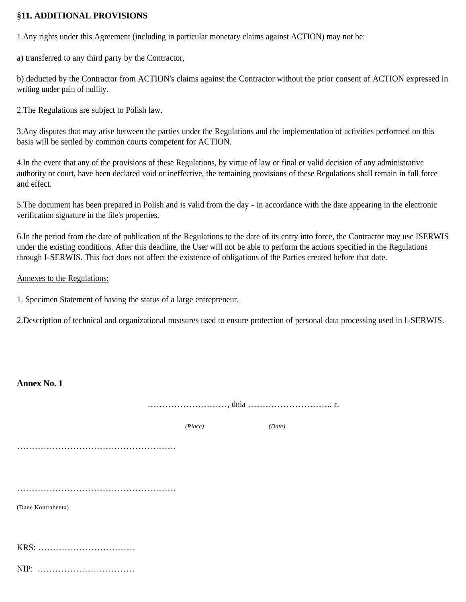### **§11. ADDITIONAL PROVISIONS**

1.Any rights under this Agreement (including in particular monetary claims against ACTION) may not be:

a) transferred to any third party by the Contractor,

b) deducted by the Contractor from ACTION's claims against the Contractor without the prior consent of ACTION expressed in writing under pain of nullity.

2.The Regulations are subject to Polish law.

3.Any disputes that may arise between the parties under the Regulations and the implementation of activities performed on this basis will be settled by common courts competent for ACTION.

4.In the event that any of the provisions of these Regulations, by virtue of law or final or valid decision of any administrative authority or court, have been declared void or ineffective, the remaining provisions of these Regulations shall remain in full force and effect.

5.The document has been prepared in Polish and is valid from the day - in accordance with the date appearing in the electronic verification signature in the file's properties.

6.In the period from the date of publication of the Regulations to the date of its entry into force, the Contractor may use ISERWIS under the existing conditions. After this deadline, the User will not be able to perform the actions specified in the Regulations through I-SERWIS. This fact does not affect the existence of obligations of the Parties created before that date.

### Annexes to the Regulations:

1. Specimen Statement of having the status of a large entrepreneur.

2.Description of technical and organizational measures used to ensure protection of personal data processing used in I-SERWIS.

| <b>Annex No. 1</b> |         |        |  |
|--------------------|---------|--------|--|
|                    |         |        |  |
|                    | (Place) | (Date) |  |
|                    |         |        |  |
|                    |         |        |  |
|                    |         |        |  |
| (Dane Kontrahenta) |         |        |  |
|                    |         |        |  |
|                    |         |        |  |
| NIP:               |         |        |  |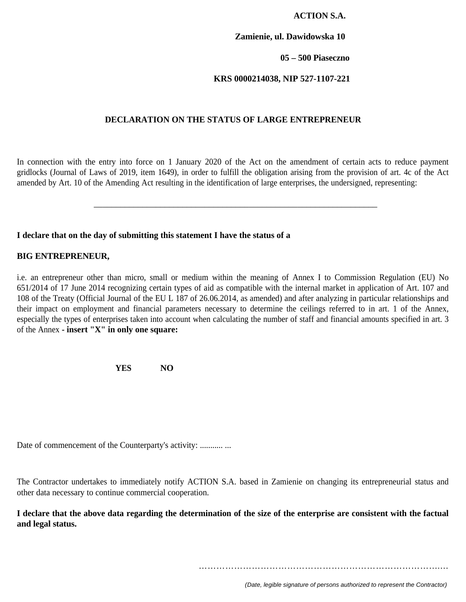### **ACTION S.A.**

#### **Zamienie, ul. Dawidowska 10**

#### **05 – 500 Piaseczno**

### **KRS 0000214038, NIP 527-1107-221**

### **DECLARATION ON THE STATUS OF LARGE ENTREPRENEUR**

In connection with the entry into force on 1 January 2020 of the Act on the amendment of certain acts to reduce payment gridlocks (Journal of Laws of 2019, item 1649), in order to fulfill the obligation arising from the provision of art. 4c of the Act amended by Art. 10 of the Amending Act resulting in the identification of large enterprises, the undersigned, representing:

\_\_\_\_\_\_\_\_\_\_\_\_\_\_\_\_\_\_\_\_\_\_\_\_\_\_\_\_\_\_\_\_\_\_\_\_\_\_\_\_\_\_\_\_\_\_\_\_\_\_\_\_\_\_\_\_\_\_\_\_\_\_\_\_

#### **I declare that on the day of submitting this statement I have the status of a**

#### **BIG ENTREPRENEUR,**

i.e. an entrepreneur other than micro, small or medium within the meaning of Annex I to Commission Regulation (EU) No 651/2014 of 17 June 2014 recognizing certain types of aid as compatible with the internal market in application of Art. 107 and 108 of the Treaty (Official Journal of the EU L 187 of 26.06.2014, as amended) and after analyzing in particular relationships and their impact on employment and financial parameters necessary to determine the ceilings referred to in art. 1 of the Annex, especially the types of enterprises taken into account when calculating the number of staff and financial amounts specified in art. 3 of the Annex **- insert "X" in only one square:**

**YES NO**

Date of commencement of the Counterparty's activity: ........... ...

The Contractor undertakes to immediately notify ACTION S.A. based in Zamienie on changing its entrepreneurial status and other data necessary to continue commercial cooperation.

**I declare that the above data regarding the determination of the size of the enterprise are consistent with the factual and legal status.**

……………………………………………………………………….…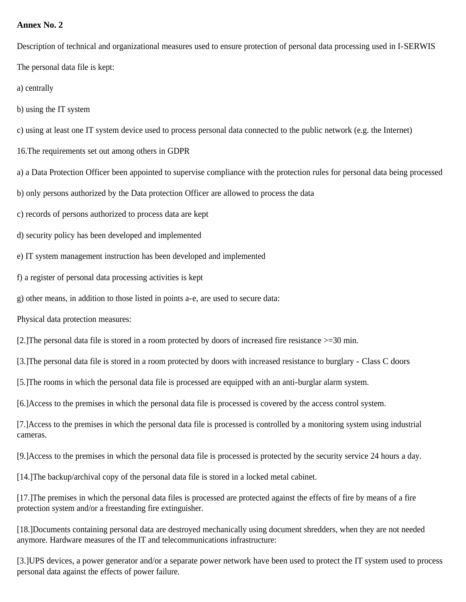### **Annex No. 2**

Description of technical and organizational measures used to ensure protection of personal data processing used in I-SERWIS The personal data file is kept:

a) centrally

b) using the IT system

c) using at least one IT system device used to process personal data connected to the public network (e.g. the Internet)

16.The requirements set out among others in GDPR

a) a Data Protection Officer been appointed to supervise compliance with the protection rules for personal data being processed

b) only persons authorized by the Data protection Officer are allowed to process the data

c) records of persons authorized to process data are kept

d) security policy has been developed and implemented

e) IT system management instruction has been developed and implemented

f) a register of personal data processing activities is kept

g) other means, in addition to those listed in points a-e, are used to secure data:

Physical data protection measures:

[2.]The personal data file is stored in a room protected by doors of increased fire resistance >=30 min.

[3.]The personal data file is stored in a room protected by doors with increased resistance to burglary - Class C doors

[5.]The rooms in which the personal data file is processed are equipped with an anti-burglar alarm system.

[6.]Access to the premises in which the personal data file is processed is covered by the access control system.

[7.]Access to the premises in which the personal data file is processed is controlled by a monitoring system using industrial cameras.

[9.]Access to the premises in which the personal data file is processed is protected by the security service 24 hours a day.

[14.]The backup/archival copy of the personal data file is stored in a locked metal cabinet.

[17.]The premises in which the personal data files is processed are protected against the effects of fire by means of a fire protection system and/or a freestanding fire extinguisher.

[18.]Documents containing personal data are destroyed mechanically using document shredders, when they are not needed anymore. Hardware measures of the IT and telecommunications infrastructure:

[3.]UPS devices, a power generator and/or a separate power network have been used to protect the IT system used to process personal data against the effects of power failure.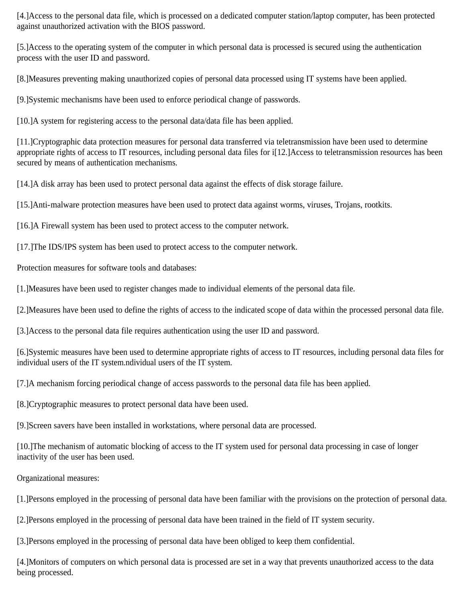[4.]Access to the personal data file, which is processed on a dedicated computer station/laptop computer, has been protected against unauthorized activation with the BIOS password.

[5.]Access to the operating system of the computer in which personal data is processed is secured using the authentication process with the user ID and password.

[8.]Measures preventing making unauthorized copies of personal data processed using IT systems have been applied.

[9.]Systemic mechanisms have been used to enforce periodical change of passwords.

[10.]A system for registering access to the personal data/data file has been applied.

[11.]Cryptographic data protection measures for personal data transferred via teletransmission have been used to determine appropriate rights of access to IT resources, including personal data files for i[12.]Access to teletransmission resources has been secured by means of authentication mechanisms.

[14.] A disk array has been used to protect personal data against the effects of disk storage failure.

[15.]Anti-malware protection measures have been used to protect data against worms, viruses, Trojans, rootkits.

[16.]A Firewall system has been used to protect access to the computer network.

[17.]The IDS/IPS system has been used to protect access to the computer network.

Protection measures for software tools and databases:

[1.]Measures have been used to register changes made to individual elements of the personal data file.

[2.]Measures have been used to define the rights of access to the indicated scope of data within the processed personal data file.

[3.]Access to the personal data file requires authentication using the user ID and password.

[6.]Systemic measures have been used to determine appropriate rights of access to IT resources, including personal data files for individual users of the IT system.ndividual users of the IT system.

[7.]A mechanism forcing periodical change of access passwords to the personal data file has been applied.

[8.]Cryptographic measures to protect personal data have been used.

[9.]Screen savers have been installed in workstations, where personal data are processed.

[10.]The mechanism of automatic blocking of access to the IT system used for personal data processing in case of longer inactivity of the user has been used.

Organizational measures:

[1.]Persons employed in the processing of personal data have been familiar with the provisions on the protection of personal data.

[2.]Persons employed in the processing of personal data have been trained in the field of IT system security.

[3.]Persons employed in the processing of personal data have been obliged to keep them confidential.

[4.]Monitors of computers on which personal data is processed are set in a way that prevents unauthorized access to the data being processed.